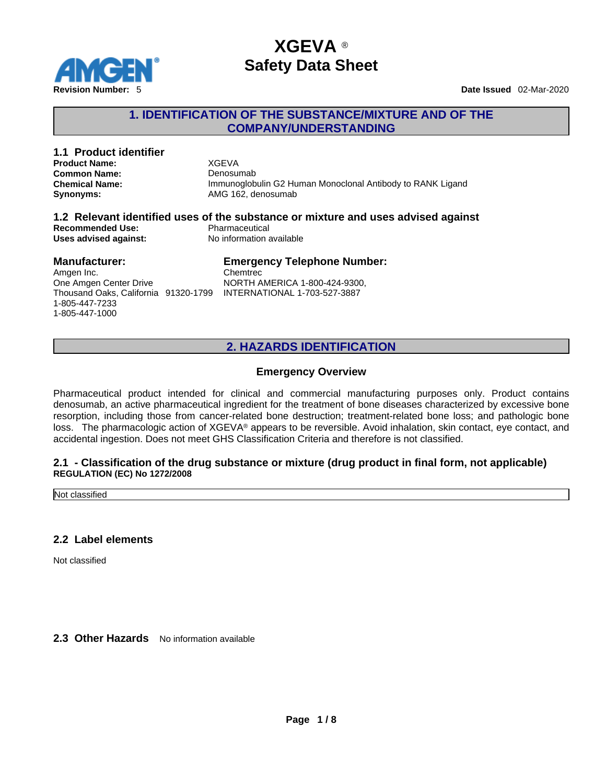

## **1. IDENTIFICATION OF THE SUBSTANCE/MIXTURE AND OF THE COMPANY/UNDERSTANDING**

| 1.1 Product identifier<br><b>Product Name:</b><br><b>Common Name:</b><br><b>Chemical Name:</b><br>Synonyms:                                         | <b>XGEVA</b><br>Denosumab<br>Immunoglobulin G2 Human Monoclonal Antibody to RANK Ligand<br>AMG 162, denosumab                   |
|-----------------------------------------------------------------------------------------------------------------------------------------------------|---------------------------------------------------------------------------------------------------------------------------------|
| <b>Recommended Use:</b><br>Uses advised against:                                                                                                    | 1.2 Relevant identified uses of the substance or mixture and uses advised against<br>Pharmaceutical<br>No information available |
| <b>Manufacturer:</b><br>Amgen Inc.<br>One Amgen Center Drive<br>Thousand Oaks, California 91320-1799 INTERNATIONAL 1-703-527-3887<br>1-805-447-7233 | <b>Emergency Telephone Number:</b><br>Chemtrec<br>NORTH AMERICA 1-800-424-9300,                                                 |

## **2. HAZARDS IDENTIFICATION**

#### **Emergency Overview**

Pharmaceutical product intended for clinical and commercial manufacturing purposes only. Product contains denosumab, an active pharmaceutical ingredient for the treatment of bone diseases characterized by excessive bone resorption, including those from cancer-related bone destruction; treatment-related bone loss; and pathologic bone loss. The pharmacologic action of XGEVA® appears to be reversible. Avoid inhalation, skin contact, eye contact, and accidental ingestion. Does not meetGHS Classification Criteria and therefore is not classified.

#### **2.1 - Classification of the drug substance or mixture (drug product in final form, not applicable) REGULATION (EC) No 1272/2008**

Not classified

#### **2.2 Label elements**

1-805-447-1000

Not classified

**2.3 Other Hazards** No information available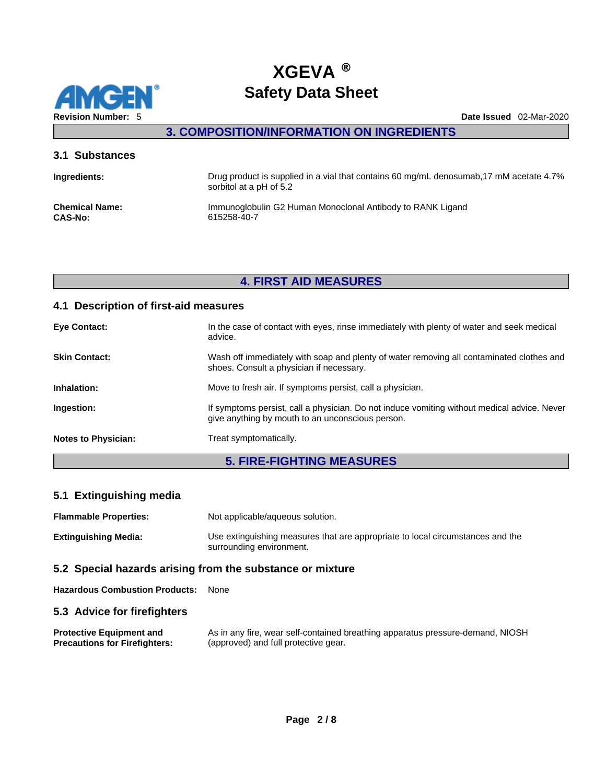

**3. COMPOSITION/INFORMATION ON INGREDIENTS** 

### **3.1 Substances**

| Ingredients:          | Drug product is supplied in a vial that contains 60 mg/mL denosumab, 17 mM acetate 4.7%<br>sorbitol at a pH of 5.2 |
|-----------------------|--------------------------------------------------------------------------------------------------------------------|
| <b>Chemical Name:</b> | Immunoglobulin G2 Human Monoclonal Antibody to RANK Ligand                                                         |
| <b>CAS-No:</b>        | 615258-40-7                                                                                                        |

## **4. FIRST AID MEASURES**

## **4.1 Description of first-aid measures**

| <b>Eye Contact:</b>        | In the case of contact with eyes, rinse immediately with plenty of water and seek medical<br>advice.                                            |
|----------------------------|-------------------------------------------------------------------------------------------------------------------------------------------------|
| <b>Skin Contact:</b>       | Wash off immediately with soap and plenty of water removing all contaminated clothes and<br>shoes. Consult a physician if necessary.            |
| Inhalation:                | Move to fresh air. If symptoms persist, call a physician.                                                                                       |
| Ingestion:                 | If symptoms persist, call a physician. Do not induce vomiting without medical advice. Never<br>give anything by mouth to an unconscious person. |
| <b>Notes to Physician:</b> | Treat symptomatically.                                                                                                                          |

# **5. FIRE-FIGHTING MEASURES**

## **5.1 Extinguishing media**

| <b>Flammable Properties:</b> | Not applicable/aqueous solution.                                                                           |
|------------------------------|------------------------------------------------------------------------------------------------------------|
| Extinguishing Media:         | Use extinguishing measures that are appropriate to local circumstances and the<br>surrounding environment. |

## **5.2 Special hazards arising from the substance or mixture**

**Hazardous Combustion Products:** None

## **5.3 Advice for firefighters**

| <b>Protective Equipment and</b>      | As in any fire, wear self-contained breathing apparatus pressure-demand, NIOSH |
|--------------------------------------|--------------------------------------------------------------------------------|
| <b>Precautions for Firefighters:</b> | (approved) and full protective gear.                                           |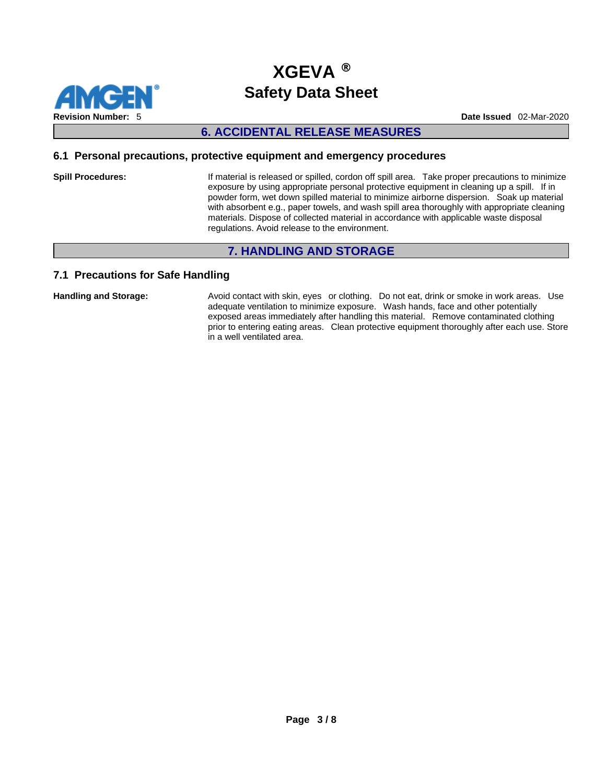

### **6. ACCIDENTAL RELEASE MEASURES**

#### **6.1 Personal precautions, protective equipment and emergency procedures**

**Spill Procedures:** If material is released or spilled, cordon off spill area. Take proper precautions to minimize exposure by using appropriate personal protective equipment in cleaning up a spill. If in powder form, wet down spilled material to minimize airborne dispersion. Soak up material with absorbent e.g., paper towels, and wash spill area thoroughly with appropriate cleaning materials. Dispose of collected material in accordance with applicable waste disposal regulations. Avoid release to the environment.

## **7. HANDLING AND STORAGE**

#### **7.1 Precautions for Safe Handling**

**Handling and Storage:** Avoid contact with skin, eyes or clothing. Do not eat, drink or smoke in work areas. Use adequate ventilation to minimize exposure. Wash hands, face and other potentially exposed areas immediately after handling this material. Remove contaminated clothing prior to entering eating areas. Clean protective equipment thoroughly after each use. Store in a well ventilated area.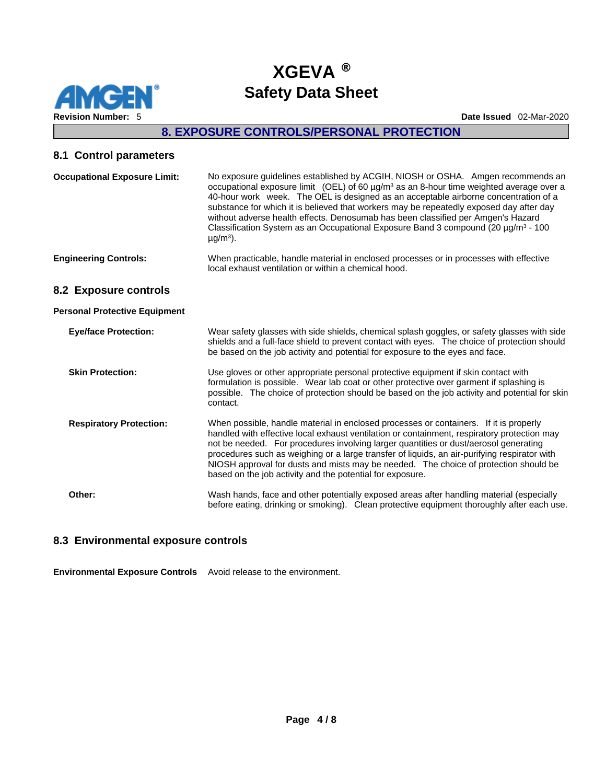

# **8. EXPOSURE CONTROLS/PERSONAL PROTECTION**

## **8.1 Control parameters**

| <b>Occupational Exposure Limit:</b>  | No exposure guidelines established by ACGIH, NIOSH or OSHA. Amgen recommends an<br>occupational exposure limit (OEL) of 60 µg/m <sup>3</sup> as an 8-hour time weighted average over a<br>40-hour work week. The OEL is designed as an acceptable airborne concentration of a<br>substance for which it is believed that workers may be repeatedly exposed day after day<br>without adverse health effects. Denosumab has been classified per Amgen's Hazard<br>Classification System as an Occupational Exposure Band 3 compound (20 µg/m <sup>3</sup> - 100<br>$\mu$ g/m <sup>3</sup> ). |
|--------------------------------------|--------------------------------------------------------------------------------------------------------------------------------------------------------------------------------------------------------------------------------------------------------------------------------------------------------------------------------------------------------------------------------------------------------------------------------------------------------------------------------------------------------------------------------------------------------------------------------------------|
| <b>Engineering Controls:</b>         | When practicable, handle material in enclosed processes or in processes with effective<br>local exhaust ventilation or within a chemical hood.                                                                                                                                                                                                                                                                                                                                                                                                                                             |
| 8.2 Exposure controls                |                                                                                                                                                                                                                                                                                                                                                                                                                                                                                                                                                                                            |
| <b>Personal Protective Equipment</b> |                                                                                                                                                                                                                                                                                                                                                                                                                                                                                                                                                                                            |
| <b>Eye/face Protection:</b>          | Wear safety glasses with side shields, chemical splash goggles, or safety glasses with side<br>shields and a full-face shield to prevent contact with eyes. The choice of protection should<br>be based on the job activity and potential for exposure to the eyes and face.                                                                                                                                                                                                                                                                                                               |
| <b>Skin Protection:</b>              | Use gloves or other appropriate personal protective equipment if skin contact with<br>formulation is possible. Wear lab coat or other protective over garment if splashing is<br>possible. The choice of protection should be based on the job activity and potential for skin<br>contact.                                                                                                                                                                                                                                                                                                 |
| <b>Respiratory Protection:</b>       | When possible, handle material in enclosed processes or containers. If it is properly<br>handled with effective local exhaust ventilation or containment, respiratory protection may<br>not be needed. For procedures involving larger quantities or dust/aerosol generating<br>procedures such as weighing or a large transfer of liquids, an air-purifying respirator with<br>NIOSH approval for dusts and mists may be needed. The choice of protection should be<br>based on the job activity and the potential for exposure.                                                          |
| Other:                               | Wash hands, face and other potentially exposed areas after handling material (especially<br>before eating, drinking or smoking). Clean protective equipment thoroughly after each use.                                                                                                                                                                                                                                                                                                                                                                                                     |

### **8.3 Environmental exposure controls**

**Environmental Exposure Controls** Avoid release to the environment.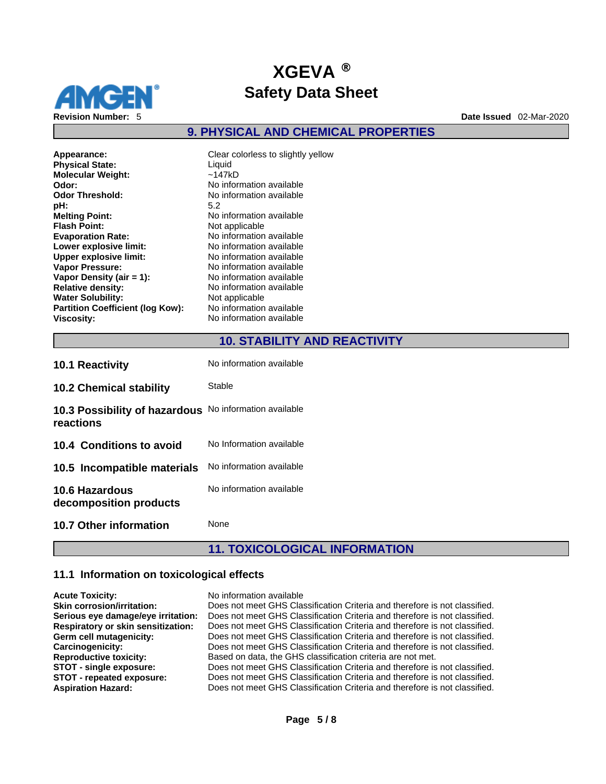

## **9. PHYSICAL AND CHEMICAL PROPERTIES**

| Clear colorless to slightly yo<br>Liquid |
|------------------------------------------|
| ~147kD                                   |
| No information available                 |
| No information available                 |
| 5.2                                      |
| No information available                 |
| Not applicable                           |
| No information available                 |
| No information available                 |
| No information available                 |
| No information available                 |
| No information available                 |
| No information available                 |
| Not applicable                           |
| No information available                 |
| No information available                 |
|                                          |

**Appearance:** Clear colorless to slightly yellow **Molecular Weight:** ~147kD **Odor:** No information available **Odor Threshold:** No information available **Melting Point:** No information available **Not applicable Evaporation Rate:** No information available **Lower explosive limit:** No information available **Upper explosive limit:** No information available **Vapor Pressure:** No information available **Vapor Density (air = 1):**No information available **Relative density:** No information available **Not applicable Partition Coefficient (log Kow):** No information available **Vo information available** 

## **10. STABILITY AND REACTIVITY**

| <b>10.1 Reactivity</b>                                              | No information available |
|---------------------------------------------------------------------|--------------------------|
| <b>10.2 Chemical stability</b>                                      | Stable                   |
| 10.3 Possibility of hazardous No information available<br>reactions |                          |
| 10.4 Conditions to avoid                                            | No Information available |
| 10.5 Incompatible materials                                         | No information available |
| <b>10.6 Hazardous</b><br>decomposition products                     | No information available |
| 10.7 Other information                                              | None                     |

## **11. TOXICOLOGICAL INFORMATION**

## **11.1 Information on toxicological effects**

| <b>Acute Toxicity:</b>                    | No information available                                                   |
|-------------------------------------------|----------------------------------------------------------------------------|
| <b>Skin corrosion/irritation:</b>         | Does not meet GHS Classification Criteria and therefore is not classified. |
| Serious eye damage/eye irritation:        | Does not meet GHS Classification Criteria and therefore is not classified. |
| <b>Respiratory or skin sensitization:</b> | Does not meet GHS Classification Criteria and therefore is not classified. |
| Germ cell mutagenicity:                   | Does not meet GHS Classification Criteria and therefore is not classified. |
| Carcinogenicity:                          | Does not meet GHS Classification Criteria and therefore is not classified. |
| <b>Reproductive toxicity:</b>             | Based on data, the GHS classification criteria are not met.                |
| STOT - single exposure:                   | Does not meet GHS Classification Criteria and therefore is not classified. |
| STOT - repeated exposure:                 | Does not meet GHS Classification Criteria and therefore is not classified. |
| <b>Aspiration Hazard:</b>                 | Does not meet GHS Classification Criteria and therefore is not classified. |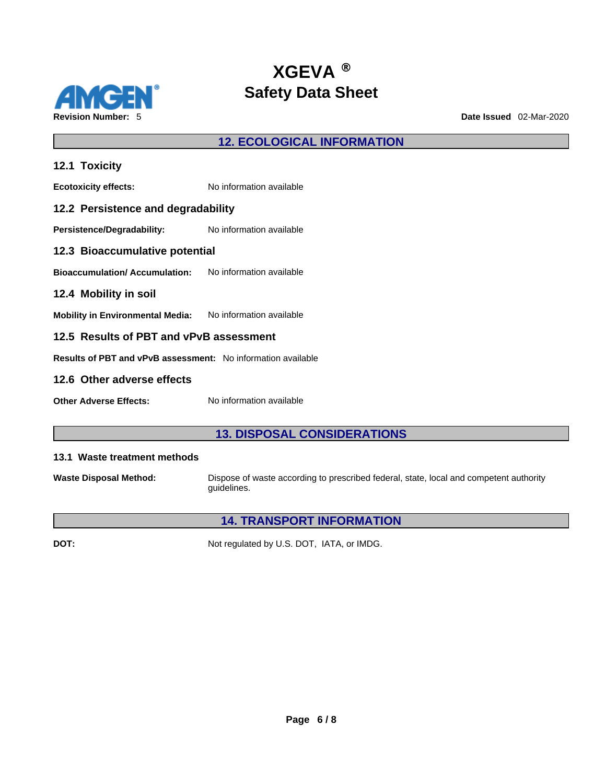

**12. ECOLOGICAL INFORMATION** 

| 12.1 Toxicity                                                  |                          |  |  |
|----------------------------------------------------------------|--------------------------|--|--|
| <b>Ecotoxicity effects:</b>                                    | No information available |  |  |
| 12.2 Persistence and degradability                             |                          |  |  |
| <b>Persistence/Degradability:</b> No information available     |                          |  |  |
| 12.3 Bioaccumulative potential                                 |                          |  |  |
| <b>Bioaccumulation/ Accumulation:</b> No information available |                          |  |  |
| 12.4 Mobility in soil                                          |                          |  |  |
| Mobility in Environmental Media: No information available      |                          |  |  |
| 12.5 Results of PBT and vPvB assessment                        |                          |  |  |
| Results of PBT and vPvB assessment: No information available   |                          |  |  |
| 12.6 Other adverse effects                                     |                          |  |  |

**Other Adverse Effects:** No information available

## **13. DISPOSAL CONSIDERATIONS**

### **13.1 Waste treatment methods**

**Waste Disposal Method:** Dispose of waste according to prescribed federal, state, local and competent authority guidelines.

## **14. TRANSPORT INFORMATION**

**DOT:** Not regulated by U.S. DOT, IATA, or IMDG.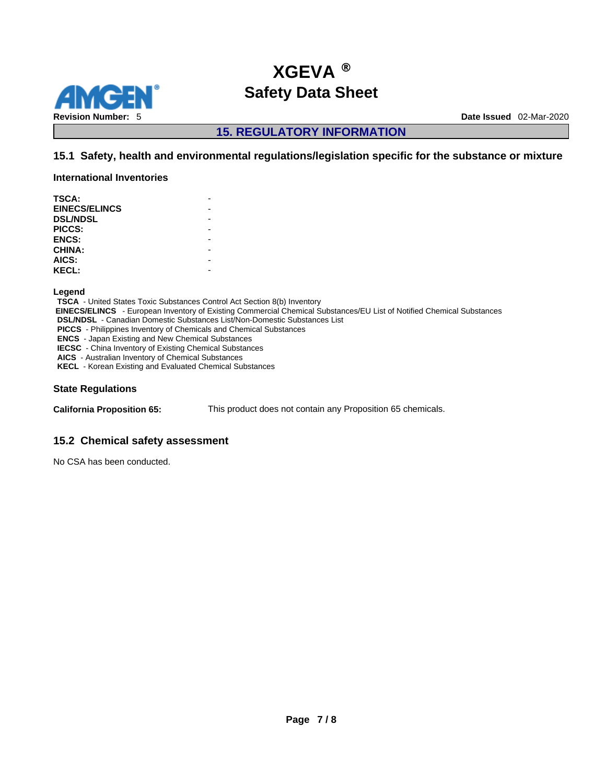

## **15. REGULATORY INFORMATION**

## **15.1 Safety, health and environmental regulations/legislation specific for the substance or mixture**

**International Inventories**

| TSCA:                |  |
|----------------------|--|
| <b>EINECS/ELINCS</b> |  |
| <b>DSL/NDSL</b>      |  |
| <b>PICCS:</b>        |  |
| <b>ENCS:</b>         |  |
| <b>CHINA:</b>        |  |
| AICS:                |  |
| <b>KECL:</b>         |  |
|                      |  |

**Legend** 

**TSCA** - United States Toxic Substances Control Act Section 8(b) Inventory  **EINECS/ELINCS** - European Inventory of Existing Commercial Chemical Substances/EU List of Notified Chemical Substances **DSL/NDSL** - Canadian Domestic Substances List/Non-Domestic Substances List **PICCS** - Philippines Inventory of Chemicals and Chemical Substances **ENCS** - Japan Existing and New Chemical Substances **IECSC** - China Inventory of Existing Chemical Substances **AICS** - Australian Inventory of Chemical Substances **KECL** - Korean Existing and Evaluated Chemical Substances

#### **State Regulations**

**California Proposition 65:** This product does not contain any Proposition 65 chemicals.

## **15.2 Chemical safety assessment**

No CSA has been conducted.